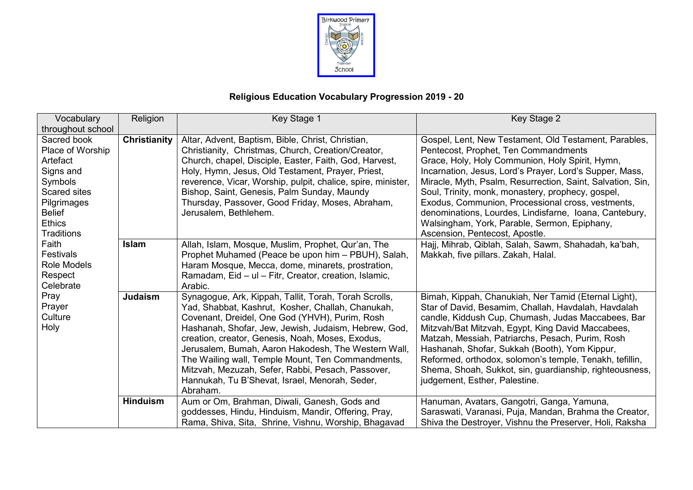

## **Religious Education Vocabulary Progression 2019 - 20**

| Vocabulary         | Religion        | Key Stage 1                                                  | Key Stage 2                                                |
|--------------------|-----------------|--------------------------------------------------------------|------------------------------------------------------------|
| throughout school  |                 |                                                              |                                                            |
| Sacred book        | Christianity    | Altar, Advent, Baptism, Bible, Christ, Christian,            | Gospel, Lent, New Testament, Old Testament, Parables,      |
| Place of Worship   |                 | Christianity, Christmas, Church, Creation/Creator,           | Pentecost, Prophet, Ten Commandments                       |
| Artefact           |                 | Church, chapel, Disciple, Easter, Faith, God, Harvest,       | Grace, Holy, Holy Communion, Holy Spirit, Hymn,            |
| Signs and          |                 | Holy, Hymn, Jesus, Old Testament, Prayer, Priest,            | Incarnation, Jesus, Lord's Prayer, Lord's Supper, Mass,    |
| Symbols            |                 | reverence, Vicar, Worship, pulpit, chalice, spire, minister, | Miracle, Myth, Psalm, Resurrection, Saint, Salvation, Sin, |
| Scared sites       |                 | Bishop, Saint, Genesis, Palm Sunday, Maundy                  | Soul, Trinity, monk, monastery, prophecy, gospel,          |
| Pilgrimages        |                 | Thursday, Passover, Good Friday, Moses, Abraham,             | Exodus, Communion, Processional cross, vestments,          |
| <b>Belief</b>      |                 | Jerusalem, Bethlehem.                                        | denominations, Lourdes, Lindisfarne, Ioana, Cantebury,     |
| <b>Ethics</b>      |                 |                                                              | Walsingham, York, Parable, Sermon, Epiphany,               |
| <b>Traditions</b>  |                 |                                                              | Ascension, Pentecost, Apostle.                             |
| Faith              | <b>Islam</b>    | Allah, Islam, Mosque, Muslim, Prophet, Qur'an, The           | Hajj, Mihrab, Qiblah, Salah, Sawm, Shahadah, ka'bah,       |
| Festivals          |                 | Prophet Muhamed (Peace be upon him - PBUH), Salah,           | Makkah, five pillars. Zakah, Halal.                        |
| <b>Role Models</b> |                 | Haram Mosque, Mecca, dome, minarets, prostration,            |                                                            |
| Respect            |                 | Ramadam, Eid - ul - Fitr, Creator, creation, Islamic,        |                                                            |
| Celebrate          |                 | Arabic.                                                      |                                                            |
| Pray               | <b>Judaism</b>  | Synagogue, Ark, Kippah, Tallit, Torah, Torah Scrolls,        | Bimah, Kippah, Chanukiah, Ner Tamid (Eternal Light),       |
| Prayer             |                 | Yad, Shabbat, Kashrut, Kosher, Challah, Chanukah,            | Star of David, Besamim, Challah, Havdalah, Havdalah        |
| Culture            |                 | Covenant, Dreidel, One God (YHVH), Purim, Rosh               | candle, Kiddush Cup, Chumash, Judas Maccabees, Bar         |
| Holy               |                 | Hashanah, Shofar, Jew, Jewish, Judaism, Hebrew, God,         | Mitzvah/Bat Mitzvah, Egypt, King David Maccabees,          |
|                    |                 | creation, creator, Genesis, Noah, Moses, Exodus,             | Matzah, Messiah, Patriarchs, Pesach, Purim, Rosh           |
|                    |                 | Jerusalem, Bumah, Aaron Hakodesh, The Western Wall,          | Hashanah, Shofar, Sukkah (Booth), Yom Kippur,              |
|                    |                 | The Wailing wall, Temple Mount, Ten Commandments,            | Reformed, orthodox, solomon's temple, Tenakh, tefillin,    |
|                    |                 | Mitzvah, Mezuzah, Sefer, Rabbi, Pesach, Passover,            | Shema, Shoah, Sukkot, sin, guardianship, righteousness,    |
|                    |                 | Hannukah, Tu B'Shevat, Israel, Menorah, Seder,               | judgement, Esther, Palestine.                              |
|                    |                 | Abraham.                                                     |                                                            |
|                    | <b>Hinduism</b> | Aum or Om, Brahman, Diwali, Ganesh, Gods and                 | Hanuman, Avatars, Gangotri, Ganga, Yamuna,                 |
|                    |                 | goddesses, Hindu, Hinduism, Mandir, Offering, Pray,          | Saraswati, Varanasi, Puja, Mandan, Brahma the Creator,     |
|                    |                 | Rama, Shiva, Sita, Shrine, Vishnu, Worship, Bhagavad         | Shiva the Destroyer, Vishnu the Preserver, Holi, Raksha    |